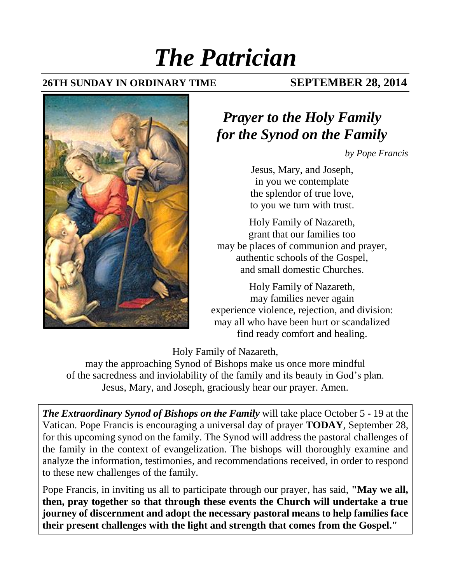# *The Patrician*

### **26TH SUNDAY IN ORDINARY TIME SEPTEMBER 28, 2014**



## *Prayer to the Holy Family for the Synod on the Family*

*by Pope Francis*

Jesus, Mary, and Joseph, in you we contemplate the splendor of true love, to you we turn with trust.

Holy Family of Nazareth, grant that our families too may be places of communion and prayer, authentic schools of the Gospel, and small domestic Churches.

Holy Family of Nazareth, may families never again experience violence, rejection, and division: may all who have been hurt or scandalized find ready comfort and healing.

Holy Family of Nazareth,

may the approaching Synod of Bishops make us once more mindful of the sacredness and inviolability of the family and its beauty in God's plan. Jesus, Mary, and Joseph, graciously hear our prayer. Amen.

*The Extraordinary Synod of Bishops on the Family* will take place October 5 - 19 at the Vatican. Pope Francis is encouraging a universal day of prayer **TODAY**, September 28, for this upcoming synod on the family. The Synod will address the pastoral challenges of the family in the context of evangelization. The bishops will thoroughly examine and analyze the information, testimonies, and recommendations received, in order to respond to these new challenges of the family.

Pope Francis, in inviting us all to participate through our prayer, has said, **"May we all, then, pray together so that through these events the Church will undertake a true journey of discernment and adopt the necessary pastoral means to help families face their present challenges with the light and strength that comes from the Gospel."**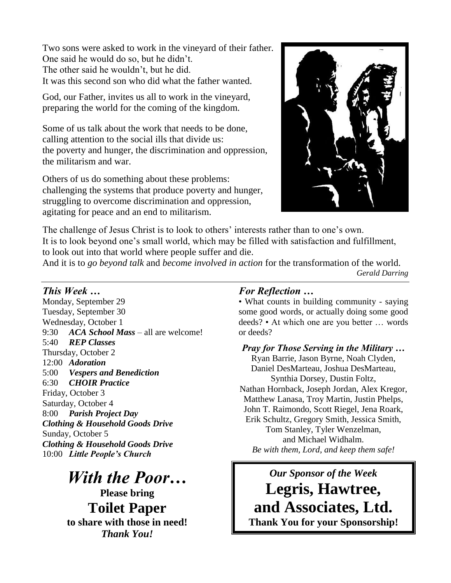Two sons were asked to work in the vineyard of their father. One said he would do so, but he didn't. The other said he wouldn't, but he did. It was this second son who did what the father wanted.

God, our Father, invites us all to work in the vineyard, preparing the world for the coming of the kingdom.

Some of us talk about the work that needs to be done, calling attention to the social ills that divide us: the poverty and hunger, the discrimination and oppression, the militarism and war.

Others of us do something about these problems: challenging the systems that produce poverty and hunger, struggling to overcome discrimination and oppression, agitating for peace and an end to militarism.



The challenge of Jesus Christ is to look to others' interests rather than to one's own. It is to look beyond one's small world, which may be filled with satisfaction and fulfillment, to look out into that world where people suffer and die.

And it is to *go beyond talk* and *become involved in action* for the transformation of the world. *Gerald Darring*

 $\overline{a}$ 

### *This Week …*

Monday, September 29 Tuesday, September 30 Wednesday, October 1 9:30 *ACA School Mass* – all are welcome! 5:40 *REP Classes*  Thursday, October 2 12:00 *Adoration* 5:00 *Vespers and Benediction* 6:30 *CHOIR Practice* Friday, October 3 Saturday, October 4 8:00 *Parish Project Day Clothing & Household Goods Drive* Sunday, October 5 *Clothing & Household Goods Drive* 10:00 *Little People's Church*

# *With the Poor…*

**Please bring Toilet Paper to share with those in need!**  *Thank You!*

### *For Reflection …*

• What counts in building community - saying some good words, or actually doing some good deeds? • At which one are you better … words or deeds?

*Pray for Those Serving in the Military …* Ryan Barrie, Jason Byrne, Noah Clyden, Daniel DesMarteau, Joshua DesMarteau, Synthia Dorsey, Dustin Foltz, Nathan Hornback, Joseph Jordan, Alex Kregor, Matthew Lanasa, Troy Martin, Justin Phelps, John T. Raimondo, Scott Riegel, Jena Roark, Erik Schultz, Gregory Smith, Jessica Smith, Tom Stanley, Tyler Wenzelman, and Michael Widhalm. *Be with them, Lord, and keep them safe!*

### *Our Sponsor of the Week*

**Legris, Hawtree, and Associates, Ltd. Thank You for your Sponsorship!**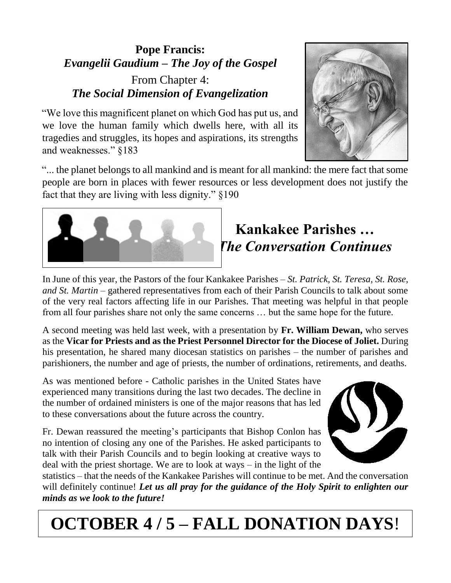### **Pope Francis:** *Evangelii Gaudium – The Joy of the Gospel* From Chapter 4: *The Social Dimension of Evangelization*

"We love this magnificent planet on which God has put us, and we love the human family which dwells here, with all its tragedies and struggles, its hopes and aspirations, its strengths and weaknesses." §183



"... the planet belongs to all mankind and is meant for all mankind: the mere fact that some people are born in places with fewer resources or less development does not justify the fact that they are living with less dignity." §190



## **Kankakee Parishes …** *The Conversation Continues*

In June of this year, the Pastors of the four Kankakee Parishes *– St. Patrick, St. Teresa, St. Rose, and St. Martin –* gathered representatives from each of their Parish Councils to talk about some of the very real factors affecting life in our Parishes. That meeting was helpful in that people from all four parishes share not only the same concerns … but the same hope for the future.

A second meeting was held last week, with a presentation by **Fr. William Dewan,** who serves as the **Vicar for Priests and as the Priest Personnel Director for the Diocese of Joliet.** During his presentation, he shared many diocesan statistics on parishes – the number of parishes and parishioners, the number and age of priests, the number of ordinations, retirements, and deaths.

As was mentioned before - Catholic parishes in the United States have experienced many transitions during the last two decades. The decline in the number of ordained ministers is one of the major reasons that has led to these conversations about the future across the country.

Fr. Dewan reassured the meeting's participants that Bishop Conlon has no intention of closing any one of the Parishes. He asked participants to talk with their Parish Councils and to begin looking at creative ways to deal with the priest shortage. We are to look at ways – in the light of the



statistics – that the needs of the Kankakee Parishes will continue to be met. And the conversation will definitely continue! *Let us all pray for the guidance of the Holy Spirit to enlighten our minds as we look to the future!*

# **OCTOBER 4 / 5 – FALL DONATION DAYS**!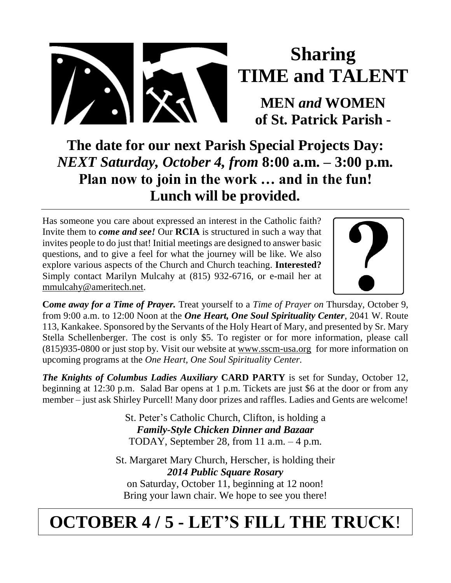

# **Sharing TIME and TALENT**

**MEN** *and* **WOMEN of St. Patrick Parish -**

**The date for our next Parish Special Projects Day:** *NEXT Saturday, October 4, from* **8:00 a.m. – 3:00 p.m. Plan now to join in the work … and in the fun! Lunch will be provided.**

Has someone you care about expressed an interest in the Catholic faith? Invite them to *come and see!* Our **RCIA** is structured in such a way that invites people to do just that! Initial meetings are designed to answer basic questions, and to give a feel for what the journey will be like. We also explore various aspects of the Church and Church teaching. **Interested?** Simply contact Marilyn Mulcahy at (815) 932-6716, or e-mail her at [mmulcahy@ameritech.net.](mailto:mmulcahy@ameritech.net)



**C***ome away for a Time of Prayer.* Treat yourself to a *Time of Prayer on* Thursday, October 9, from 9:00 a.m. to 12:00 Noon at the *One Heart, One Soul Spirituality Center*, 2041 W. Route 113, Kankakee. Sponsored by the Servants of the Holy Heart of Mary, and presented by Sr. Mary Stella Schellenberger. The cost is only \$5. To register or for more information, please call (815)935-0800 or just stop by. Visit our website at [www.sscm-usa.org](http://www.sscm-usa.org/) for more information on upcoming programs at the *One Heart, One Soul Spirituality Center.*

*The Knights of Columbus Ladies Auxiliary* **CARD PARTY** is set for Sunday, October 12, beginning at 12:30 p.m. Salad Bar opens at 1 p.m. Tickets are just \$6 at the door or from any member – just ask Shirley Purcell! Many door prizes and raffles. Ladies and Gents are welcome!

> St. Peter's Catholic Church, Clifton, is holding a *Family-Style Chicken Dinner and Bazaar* TODAY, September 28, from 11 a.m. – 4 p.m.

St. Margaret Mary Church, Herscher, is holding their *2014 Public Square Rosary* on Saturday, October 11, beginning at 12 noon! Bring your lawn chair. We hope to see you there!

# **OCTOBER 4 / 5 - LET'S FILL THE TRUCK**!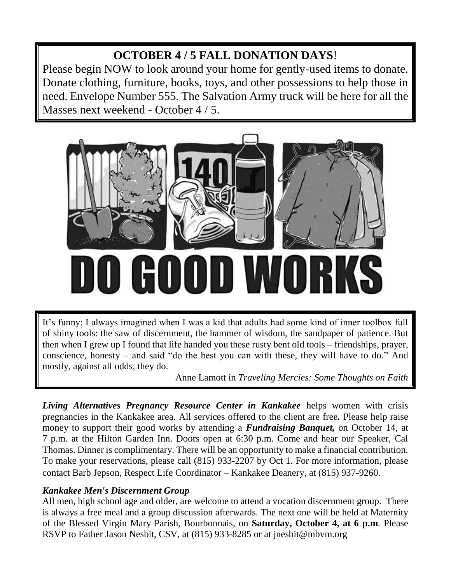### **OCTOBER 4 / 5 FALL DONATION DAYS**!

Please begin NOW to look around your home for gently-used items to donate. Donate clothing, furniture, books, toys, and other possessions to help those in need. Envelope Number 555. The Salvation Army truck will be here for all the Masses next weekend - October 4 / 5.



It's funny: I always imagined when I was a kid that adults had some kind of inner toolbox full of shiny tools: the saw of discernment, the hammer of wisdom, the sandpaper of patience. But then when I grew up I found that life handed you these rusty bent old tools – friendships, prayer, conscience, honesty – and said "do the best you can with these, they will have to do." And mostly, against all odds, they do.

Anne Lamott in *Traveling Mercies: Some Thoughts on Faith*

**Living Alternatives Pregnancy Resource Center in Kankakee** helps women with crisis pregnancies in the Kankakee area. All services offered to the client are free*.* Please help raise money to support their good works by attending a *Fundraising Banquet,* on October 14, at 7 p.m. at the Hilton Garden Inn. Doors open at 6:30 p.m. Come and hear our Speaker, Cal Thomas. Dinner is complimentary. There will be an opportunity to make a financial contribution. To make your reservations, please call (815) 933-2207 by Oct 1. For more information, please contact Barb Jepson, Respect Life Coordinator – Kankakee Deanery, at (815) 937-9260.

### *Kankakee Men's Discernment Group*

All men, high school age and older, are welcome to attend a vocation discernment group. There is always a free meal and a group discussion afterwards. The next one will be held at Maternity of the Blessed Virgin Mary Parish, Bourbonnais, on **Saturday, October 4, at 6 p.m**. Please RSVP to Father Jason Nesbit, CSV, at (815) 933-8285 or at [jnesbit@mbvm.org](mailto:jnesbit@mbvm.org)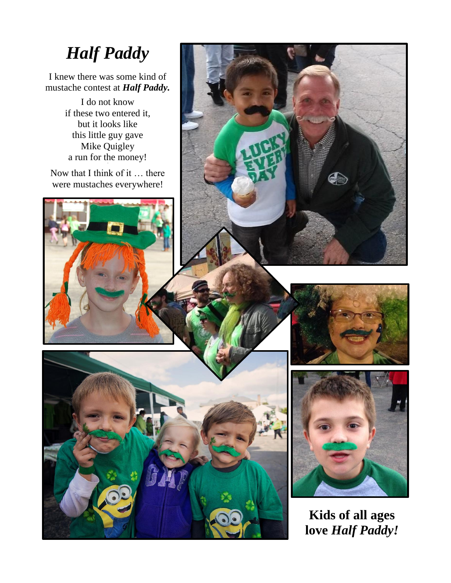# *Half Paddy*

I knew there was some kind of mustache contest at *Half Paddy.*

> I do not know if these two entered it, but it looks like this little guy gave Mike Quigley a run for the money!

Now that I think of it … there were mustaches everywhere!











**Kids of all ages love** *Half Paddy!*